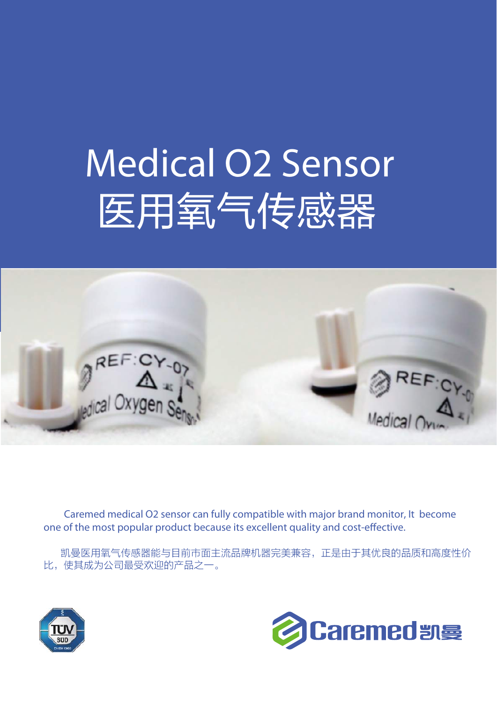## Medical O2 Sensor 医用氧气传感器



Caremed medical O2 sensor can fully compatible with major brand monitor, It become one of the most popular product because its excellent quality and cost-effective.

 凯曼医用氧气传感器能与目前市面主流品牌机器完美兼容,正是由于其优良的品质和高度性价 比,使其成为公司最受欢迎的产品之一。



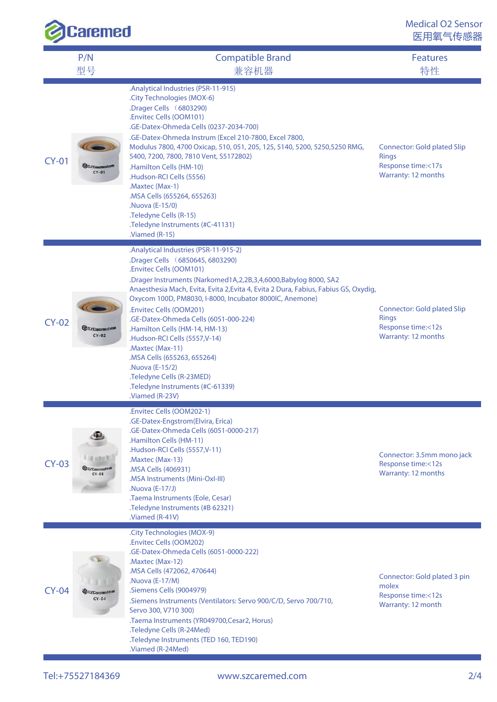| Caremed |                                 |                                                                                                                                                                                                                                                                                                                                                                                                                                                                                                                                                                                                                             | <b>Medical O2 Sensor</b><br>医用氧气传感器                                                                    |
|---------|---------------------------------|-----------------------------------------------------------------------------------------------------------------------------------------------------------------------------------------------------------------------------------------------------------------------------------------------------------------------------------------------------------------------------------------------------------------------------------------------------------------------------------------------------------------------------------------------------------------------------------------------------------------------------|--------------------------------------------------------------------------------------------------------|
|         | P/N<br>型号                       | <b>Compatible Brand</b><br>兼容机器                                                                                                                                                                                                                                                                                                                                                                                                                                                                                                                                                                                             | <b>Features</b><br>特性                                                                                  |
| $CY-01$ | <b>@SZCaremedat®</b><br>$CY-01$ | .Analytical Industries (PSR-11-915)<br>.City Technologies (MOX-6)<br>Drager Cells (6803290)<br>.Envitec Cells (OOM101)<br>.GE-Datex-Ohmeda Cells (0237-2034-700)<br>.GE-Datex-Ohmeda Instrum (Excel 210-7800, Excel 7800,<br>Modulus 7800, 4700 Oxicap, 510, 051, 205, 125, 5140, 5200, 5250, 5250 RMG,<br>5400, 7200, 7800, 7810 Vent, S5172802)<br>.Hamilton Cells (HM-10)<br>.Hudson-RCI Cells (5556)<br>.Maxtec (Max-1)<br>.MSA Cells (655264, 655263)<br>.Nuova (E-15/0)<br>.Teledyne Cells (R-15)<br>.Teledyne Instruments (#C-41131)<br>.Viamed (R-15)                                                               | <b>Connector: Gold plated Slip</b><br><b>Rings</b><br>Response time:<17s<br>Warranty: 12 months        |
| $CY-02$ | <b>@SZCaremedat®</b><br>$CY-02$ | .Analytical Industries (PSR-11-915-2)<br>.Drager Cells (6850645, 6803290)<br>.Envitec Cells (OOM101)<br>.Drager Instruments (Narkomed1A,2,2B,3,4,6000,Babylog 8000, SA2<br>Anaesthesia Mach, Evita, Evita 2, Evita 4, Evita 2 Dura, Fabius, Fabius GS, Oxydig,<br>Oxycom 100D, PM8030, I-8000, Incubator 8000IC, Anemone)<br>.Envitec Cells (OOM201)<br>.GE-Datex-Ohmeda Cells (6051-000-224)<br>.Hamilton Cells (HM-14, HM-13)<br>.Hudson-RCI Cells (5557, V-14)<br>.Maxtec (Max-11)<br>.MSA Cells (655263, 655264)<br>.Nuova (E-15/2)<br>.Teledyne Cells (R-23MED)<br>Teledyne Instruments (#C-61339).<br>.Viamed (R-23V) | <b>Connector: Gold plated Slip</b><br><b>Rings</b><br>Response time:<12s<br><b>Warranty: 12 months</b> |
| $CY-03$ | SZCaremedaM<br>$CY-03$          | .Envitec Cells (OOM202-1)<br>.GE-Datex-Engstrom(Elvira, Erica)<br>.GE-Datex-Ohmeda Cells (6051-0000-217)<br>.Hamilton Cells (HM-11)<br>.Hudson-RCI Cells (5557, V-11)<br>.Maxtec (Max-13)<br>.MSA Cells (406931)<br>.MSA Instruments (Mini-Oxl-III)<br>.Nuova (E-17/J)<br>.Taema Instruments (Eole, Cesar)<br>.Teledyne Instruments (#B 62321)<br>.Viamed (R-41V)                                                                                                                                                                                                                                                           | Connector: 3.5mm mono jack<br>Response time:<12s<br>Warranty: 12 months                                |
| $CY-04$ | SZCaremed sta<br>$CY-04$        | .City Technologies (MOX-9)<br>.Envitec Cells (OOM202)<br>.GE-Datex-Ohmeda Cells (6051-0000-222)<br>.Maxtec (Max-12)<br>.MSA Cells (472062, 470644)<br>.Nuova (E-17/M)<br>.Siemens Cells (9004979)<br>.Siemens Instruments (Ventilators: Servo 900/C/D, Servo 700/710,<br>Servo 300, V710 300)<br>.Taema Instruments (YR049700,Cesar2, Horus)<br>.Teledyne Cells (R-24Med)<br>.Teledyne Instruments (TED 160, TED190)<br>.Viamed (R-24Med)                                                                                                                                                                                   | Connector: Gold plated 3 pin<br>molex<br>Response time:<12s<br>Warranty: 12 month                      |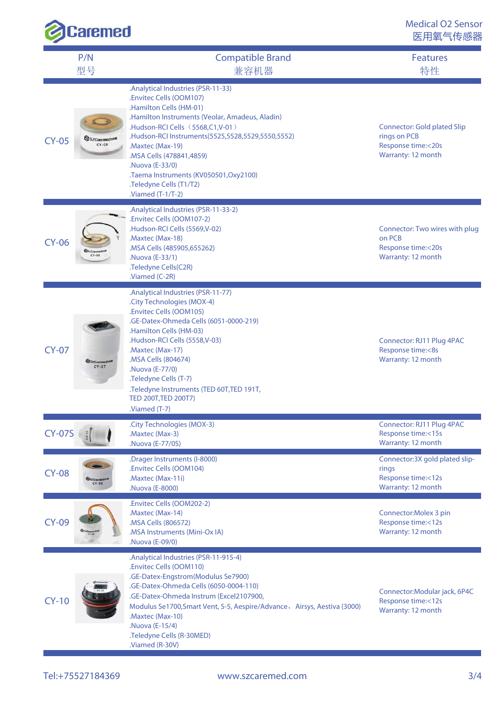| <b>Caremed</b> |                                    |                                                                                                                                                                                                                                                                                                                                                                                                   | <b>Medical O2 Sensor</b><br>医用氧气传感器                                                            |
|----------------|------------------------------------|---------------------------------------------------------------------------------------------------------------------------------------------------------------------------------------------------------------------------------------------------------------------------------------------------------------------------------------------------------------------------------------------------|------------------------------------------------------------------------------------------------|
|                | P/N<br>型号                          | <b>Compatible Brand</b><br>兼容机器                                                                                                                                                                                                                                                                                                                                                                   | <b>Features</b><br>特性                                                                          |
| $CY-05$        | SZCaremed star<br>$CY-05$          | .Analytical Industries (PSR-11-33)<br>.Envitec Cells (OOM107)<br>.Hamilton Cells (HM-01)<br>.Hamilton Instruments (Veolar, Amadeus, Aladin)<br>.Hudson-RCI Cells (5568,C1,V-01)<br>.Hudson-RCI Instruments(5525,5528,5529,5550,5552)<br>.Maxtec (Max-19)<br>MSA Cells (478841,4859)<br>.Nuova (E-33/0)<br>.Taema Instruments (KV050501,Oxy2100)<br>.Teledyne Cells (T1/T2)<br>$N$ iamed (T-1/T-2) | <b>Connector: Gold plated Slip</b><br>rings on PCB<br>Response time:<20s<br>Warranty: 12 month |
| $CY-06$        |                                    | .Analytical Industries (PSR-11-33-2)<br>.Envitec Cells (OOM107-2)<br>.Hudson-RCI Cells (5569, V-02)<br>.Maxtec (Max-18)<br>.MSA Cells (485905,655262)<br>.Nuova (E-33/1)<br>.Teledyne Cells(C2R)<br>.Viamed (C-2R)                                                                                                                                                                                | Connector: Two wires with plug<br>on PCB<br>Response time:<20s<br>Warranty: 12 month           |
| $CY-07$        | SZCaremeda <sup>s</sup><br>$CY-07$ | .Analytical Industries (PSR-11-77)<br>.City Technologies (MOX-4)<br>.Envitec Cells (OOM105)<br>.GE-Datex-Ohmeda Cells (6051-0000-219)<br>.Hamilton Cells (HM-03)<br>.Hudson-RCI Cells (5558, V-03)<br>.Maxtec (Max-17)<br>.MSA Cells (804674)<br>.Nuova (E-77/0)<br>.Teledyne Cells (T-7)<br>.Teledyne Instruments (TED 60T,TED 191T,<br>TED 200T, TED 200T7)<br>.Viamed (T-7)                    | Connector: RJ11 Plug 4PAC<br>Response time:<8s<br>Warranty: 12 month                           |
| <b>CY-07S</b>  |                                    | .City Technologies (MOX-3)<br>.Maxtec (Max-3)<br>.Nuova (E-77/0S)                                                                                                                                                                                                                                                                                                                                 | Connector: RJ11 Plug 4PAC<br>Response time:<15s<br>Warranty: 12 month                          |
| $CY-08$        | <b>SZCareme</b><br>$CY-08$         | .Drager Instruments (I-8000)<br>.Envitec Cells (OOM104)<br>.Maxtec (Max-11i)<br>.Nuova (E-8000)                                                                                                                                                                                                                                                                                                   | Connector: 3X gold plated slip-<br>rings<br>Response time:<12s<br>Warranty: 12 month           |
| <b>CY-09</b>   |                                    | .Envitec Cells (OOM202-2)<br>.Maxtec (Max-14)<br>.MSA Cells (806572)<br>.MSA Instruments (Mini-Ox IA)<br>.Nuova (E-09/0)                                                                                                                                                                                                                                                                          | Connector: Molex 3 pin<br>Response time:<12s<br>Warranty: 12 month                             |
| $CY-10$        |                                    | .Analytical Industries (PSR-11-915-4)<br>.Envitec Cells (OOM110)<br>.GE-Datex-Engstrom(Modulus Se7900)<br>.GE-Datex-Ohmeda Cells (6050-0004-110)<br>.GE-Datex-Ohmeda Instrum (Excel2107900,<br>Modulus Se1700, Smart Vent, S-5, Aespire/Advance, Airsys, Aestiva (3000)<br>Maxtec (Max-10)<br>.Nuova (E-15/4)<br>.Teledyne Cells (R-30MED)<br>.Viamed (R-30V)                                     | Connector: Modular jack, 6P4C<br>Response time:<12s<br>Warranty: 12 month                      |